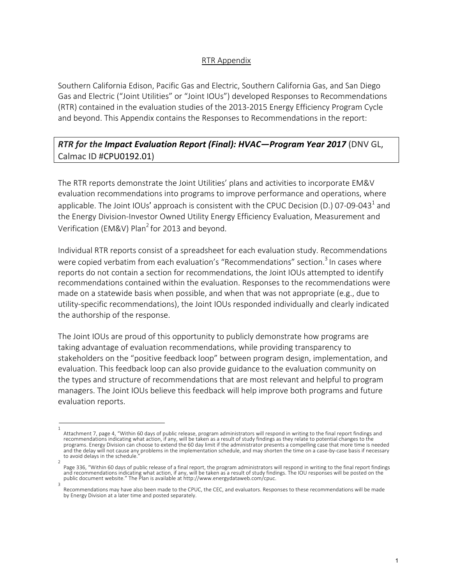## RTR Appendix

Southern California Edison, Pacific Gas and Electric, Southern California Gas, and San Diego Gas and Electric ("Joint Utilities" or "Joint IOUs") developed Responses to Recommendations (RTR) contained in the evaluation studies of the 2013-2015 Energy Efficiency Program Cycle and beyond. This Appendix contains the Responses to Recommendations in the report:

## *RTR for the Impact Evaluation Report (Final): HVAC—Program Year 2017* (DNV GL, Calmac ID #CPU0192.01)

The RTR reports demonstrate the Joint Utilities' plans and activities to incorporate EM&V evaluation recommendations into programs to improve performance and operations, where applicable. The Joint IOUs' approach is consistent with the CPUC Decision (D.) 07-09-043<sup>1</sup> and the Energy Division-Investor Owned Utility Energy Efficiency Evaluation, Measurement and Verification (EM&V) Plan<sup>2</sup> for 2013 and beyond.

Individual RTR reports consist of a spreadsheet for each evaluation study. Recommendations were copied verbatim from each evaluation's "Recommendations" section.<sup>3</sup> In cases where reports do not contain a section for recommendations, the Joint IOUs attempted to identify recommendations contained within the evaluation. Responses to the recommendations were made on a statewide basis when possible, and when that was not appropriate (e.g., due to utility-specific recommendations), the Joint IOUs responded individually and clearly indicated the authorship of the response.

The Joint IOUs are proud of this opportunity to publicly demonstrate how programs are taking advantage of evaluation recommendations, while providing transparency to stakeholders on the "positive feedback loop" between program design, implementation, and evaluation. This feedback loop can also provide guidance to the evaluation community on the types and structure of recommendations that are most relevant and helpful to program managers. The Joint IOUs believe this feedback will help improve both programs and future evaluation reports.

<sup>1</sup>  Attachment 7, page 4, "Within 60 days of public release, program administrators will respond in writing to the final report findings and recommendations indicating what action, if any, will be taken as a result of study findings as they relate to potential changes to the programs. Energy Division can choose to extend the 60 day limit if the administrator presents a compelling case that more time is needed and the delay will not cause any problems in the implementation schedule, and may shorten the time on a case-by-case basis if necessary to avoid delays in the schedule.

<sup>2</sup>  Page 336, "Within 60 days of public release of a final report, the program administrators will respond in writing to the final report findings and recommendations indicating what action, if any, will be taken as a result of study findings. The IOU responses will be posted on the public document website." The Plan is available at http://www.energydataweb.com/cpuc. 3

Recommendations may have also been made to the CPUC, the CEC, and evaluators. Responses to these recommendations will be made by Energy Division at a later time and posted separately.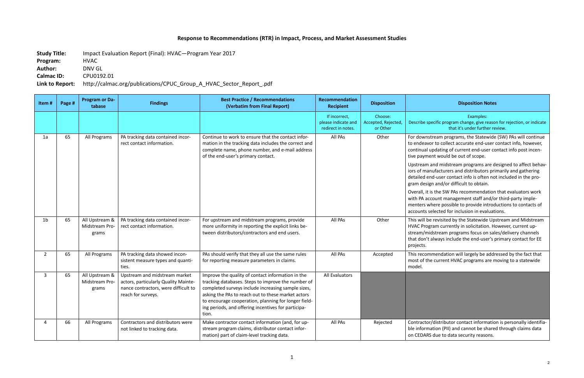## **Response to Recommendations (RTR) in Impact, Process, and Market Assessment Studies**

**Study Title:** Impact Evaluation Report (Final): HVAC—Program Year 2017

**Program:** HVAC **Author:** DNV GL

**Calmac ID:** CPU0192.01

**Link to Report:** http://calmac.org/publications/CPUC\_Group\_A\_HVAC\_Sector\_Report\_.pdf

## **Recipient Disposition Disposition Notes**

Examples: becific program change, give reason for rejection, or indicate that it's under further review.

stream programs, the Statewide (SW) PAs will continue vor to collect accurate end-user contact info, however, updating of current end-user contact info post incenent would be out of scope.

and midstream programs are designed to affect behavanufacturers and distributors primarily and gathering end-user contact info is often not included in the proign and/or difficult to obtain.

I is the SW PAs recommendation that evaluators work ccount management staff and/or third-party implewhere possible to provide introductions to contacts of selected for inclusion in evaluations.

e revisited by the Statewide Upstream and Midstream gram currently in solicitation. However, current upidstream programs focus on sales/delivery channels always include the end-user's primary contact for EE

mmendation will largely be addressed by the fact that he current HVAC programs are moving to a statewide

or/distributor contact information is personally identifiahation (PII) and cannot be shared through claims data RS due to data security reasons.

| Item#          | Page # | <b>Program or Da-</b><br>tabase           | <b>Findings</b>                                                                                                                     | <b>Best Practice / Recommendations</b><br>(Verbatim from Final Report)                                                                                                                                                                                                                                                                      | Recommendation<br><b>Recipient</b>                         | <b>Disposition</b>                         |                                                                        |
|----------------|--------|-------------------------------------------|-------------------------------------------------------------------------------------------------------------------------------------|---------------------------------------------------------------------------------------------------------------------------------------------------------------------------------------------------------------------------------------------------------------------------------------------------------------------------------------------|------------------------------------------------------------|--------------------------------------------|------------------------------------------------------------------------|
|                |        |                                           |                                                                                                                                     |                                                                                                                                                                                                                                                                                                                                             | If incorrect,<br>please indicate and<br>redirect in notes. | Choose:<br>Accepted, Rejected,<br>or Other | Describe s                                                             |
| 1a             | 65     | All Programs                              | PA tracking data contained incor-<br>rect contact information.                                                                      | Continue to work to ensure that the contact infor-<br>mation in the tracking data includes the correct and<br>complete name, phone number, and e-mail address<br>of the end-user's primary contact.                                                                                                                                         | All PAs                                                    | Other                                      | For downs<br>to endeav<br>continual<br>tive paym                       |
|                |        |                                           |                                                                                                                                     |                                                                                                                                                                                                                                                                                                                                             |                                                            |                                            | Upstream<br>iors of ma<br>detailed e<br>gram desi                      |
|                |        |                                           |                                                                                                                                     |                                                                                                                                                                                                                                                                                                                                             |                                                            |                                            | Overall, it<br>with PA ac<br>menters w<br>accounts s                   |
| 1 <sub>b</sub> | 65     | All Upstream &<br>Midstream Pro-<br>grams | PA tracking data contained incor-<br>rect contact information.                                                                      | For upstream and midstream programs, provide<br>more uniformity in reporting the explicit links be-<br>tween distributors/contractors and end users.                                                                                                                                                                                        | All PAs                                                    | Other                                      | This will b<br><b>HVAC Prog</b><br>stream/m<br>that don't<br>projects. |
| $\overline{2}$ | 65     | All Programs                              | PA tracking data showed incon-<br>sistent measure types and quanti-<br>ties.                                                        | PAs should verify that they all use the same rules<br>for reporting measure parameters in claims.                                                                                                                                                                                                                                           | All PAs                                                    | Accepted                                   | This recon<br>most of th<br>model.                                     |
| $\mathbf{3}$   | 65     | All Upstream &<br>Midstream Pro-<br>grams | Upstream and midstream market<br>actors, particularly Quality Mainte-<br>nance contractors, were difficult to<br>reach for surveys. | Improve the quality of contact information in the<br>tracking databases. Steps to improve the number of<br>completed surveys include increasing sample sizes,<br>asking the PAs to reach out to these market actors<br>to encourage cooperation, planning for longer field-<br>ing periods, and offering incentives for participa-<br>tion. | <b>All Evaluators</b>                                      |                                            |                                                                        |
| 4              | 66     | All Programs                              | Contractors and distributors were<br>not linked to tracking data.                                                                   | Make contractor contact information (and, for up-<br>stream program claims, distributor contact infor-<br>mation) part of claim-level tracking data.                                                                                                                                                                                        | All PAs                                                    | Rejected                                   | Contracto<br>ble inform<br>on CEDAR                                    |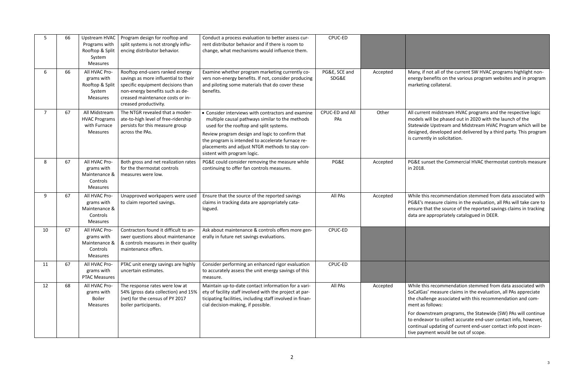not all of the current SW HVAC programs highlight nonnefits on the various program websites and in program collateral.

t midstream HVAC programs and the respective logic ill be phased out in 2020 with the launch of the Upstream and Midstream HVAC Program which will be developed and delivered by a third party. This program ly in solicitation.

set the Commercial HVAC thermostat controls measure

recommendation stemmed from data associated with easure claims in the evaluation, all PAs will take care to at the source of the reported savings claims in tracking appropriately catalogued in DEER.

recommendation stemmed from data associated with measure claims in the evaluation, all PAs appreciate nge associated with this recommendation and com $ll$ ollows:

stream programs, the Statewide (SW) PAs will continue or to collect accurate end-user contact info, however, updating of current end-user contact info post incenent would be out of scope.

| 5              | 66 | Upstream HVAC<br>Programs with<br>Rooftop & Split<br>System<br><b>Measures</b> | Program design for rooftop and<br>split systems is not strongly influ-<br>encing distributor behavior.                                                                                                       | Conduct a process evaluation to better assess cur-<br>rent distributor behavior and if there is room to<br>change, what mechanisms would influence them.                                                                                                                                                                                   | CPUC-ED                |          |                                                                                                           |
|----------------|----|--------------------------------------------------------------------------------|--------------------------------------------------------------------------------------------------------------------------------------------------------------------------------------------------------------|--------------------------------------------------------------------------------------------------------------------------------------------------------------------------------------------------------------------------------------------------------------------------------------------------------------------------------------------|------------------------|----------|-----------------------------------------------------------------------------------------------------------|
| 6              | 66 | All HVAC Pro-<br>grams with<br>Rooftop & Split<br>System<br>Measures           | Rooftop end-users ranked energy<br>savings as more influential to their<br>specific equipment decisions than<br>non-energy benefits such as de-<br>creased maintenance costs or in-<br>creased productivity. | Examine whether program marketing currently co-<br>vers non-energy benefits. If not, consider producing<br>and piloting some materials that do cover these<br>benefits.                                                                                                                                                                    | PG&E, SCE and<br>SDG&E | Accepted | Many, if no<br>energy bei<br>marketing                                                                    |
| $\overline{7}$ | 67 | All Midstream<br><b>HVAC Programs</b><br>with Furnace<br><b>Measures</b>       | The NTGR revealed that a moder-<br>ate-to-high level of free-ridership<br>persists for this measure group<br>across the PAs.                                                                                 | • Consider interviews with contractors and examine<br>multiple causal pathways similar to the methods<br>used for the rooftop and split systems.<br>Review program design and logic to confirm that<br>the program is intended to accelerate furnace re-<br>placements and adjust NTGR methods to stay con-<br>sistent with program logic. | CPUC-ED and All<br>PAs | Other    | All current<br>models wi<br>Statewide<br>designed,<br>is currently                                        |
| 8              | 67 | All HVAC Pro-<br>grams with<br>Maintenance &<br>Controls<br>Measures           | Both gross and net realization rates<br>for the thermostat controls<br>measures were low.                                                                                                                    | PG&E could consider removing the measure while<br>continuing to offer fan controls measures.                                                                                                                                                                                                                                               | PG&E                   | Accepted | PG&E suns<br>in 2018.                                                                                     |
| 9              | 67 | All HVAC Pro-<br>grams with<br>Maintenance &<br>Controls<br>Measures           | Unapproved workpapers were used<br>to claim reported savings.                                                                                                                                                | Ensure that the source of the reported savings<br>claims in tracking data are appropriately cata-<br>logued.                                                                                                                                                                                                                               | All PAs                | Accepted | While this<br>PG&E's me<br>ensure tha<br>data are a                                                       |
| 10             | 67 | All HVAC Pro-<br>grams with<br>Maintenance &<br>Controls<br><b>Measures</b>    | Contractors found it difficult to an-<br>swer questions about maintenance<br>& controls measures in their quality<br>maintenance offers.                                                                     | Ask about maintenance & controls offers more gen-<br>erally in future net savings evaluations.                                                                                                                                                                                                                                             | CPUC-ED                |          |                                                                                                           |
| 11             | 67 | All HVAC Pro-<br>grams with<br><b>PTAC Measures</b>                            | PTAC unit energy savings are highly<br>uncertain estimates.                                                                                                                                                  | Consider performing an enhanced rigor evaluation<br>to accurately assess the unit energy savings of this<br>measure.                                                                                                                                                                                                                       | CPUC-ED                |          |                                                                                                           |
| 12             | 68 | All HVAC Pro-<br>grams with<br><b>Boiler</b><br>Measures                       | The response rates were low at<br>54% (gross data collection) and 15%<br>(net) for the census of PY 2017<br>boiler participants.                                                                             | Maintain up-to-date contact information for a vari-<br>ety of facility staff involved with the project at par-<br>ticipating facilities, including staff involved in finan-<br>cial decision-making, if possible.                                                                                                                          | All PAs                | Accepted | While this<br>SoCalGas'<br>the challer<br>ment as fo<br>For downs<br>to endeav<br>continual<br>tive payme |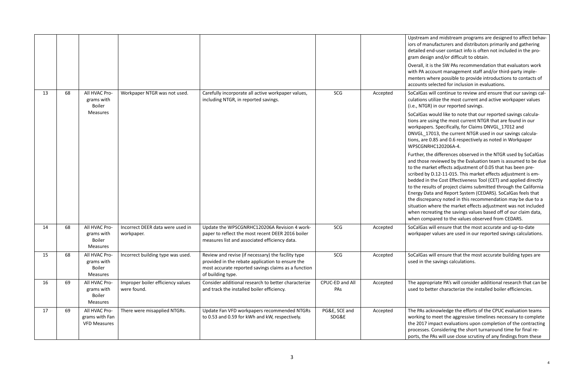and midstream programs are designed to affect behavanufacturers and distributors primarily and gathering end-user contact info is often not included in the proign and/or difficult to obtain.

I is the SW PAs recommendation that evaluators work ccount management staff and/or third-party implewhere possible to provide introductions to contacts of selected for inclusion in evaluations.

will continue to review and ensure that our savings calutilize the most current and active workpaper values R) in our reported savings.

would like to note that our reported savings calculausing the most current NTGR that are found in our ers. Specifically, for Claims DNVGL\_17012 and .7013, the current NTGR used in our savings calcula-0.85 and 0.6 respectively as noted in Workpaper RHC120206A-4.

he differences observed in the NTGR used by SoCalGas exterate by the Evaluation team is assumed to be due arket effects adjustment of 0.05 that has been prey D.12-11-015. This market effects adjustment is emthe Cost Effectiveness Tool (CET) and applied directly sults of project claims submitted through the California ata and Report System (CEDARS). SoCalGas feels that epancy noted in this recommendation may be due to a where the market effects adjustment was not included reating the savings values based off of our claim data, npared to the values observed from CEDARS.

will ensure that the most accurate and up-to-date er values are used in our reported savings calculations.

will ensure that the most accurate building types are ne savings calculations.

opriate PA's will consider additional research that can be etter characterize the installed boiler efficiencies.

cknowledge the efforts of the CPUC evaluation teams to meet the aggressive timelines necessary to complete impact evaluations upon completion of the contracting s. Considering the short turnaround time for final re-PAs will use close scrutiny of any findings from these

|    |    |                                                                 |                                                  |                                                                                                                                                                                    |                        |          | Upstream<br>iors of ma<br>detailed e<br>gram desi<br>Overall, it<br>with PA a                                                                          |
|----|----|-----------------------------------------------------------------|--------------------------------------------------|------------------------------------------------------------------------------------------------------------------------------------------------------------------------------------|------------------------|----------|--------------------------------------------------------------------------------------------------------------------------------------------------------|
|    |    |                                                                 |                                                  |                                                                                                                                                                                    |                        |          | menters v<br>accounts                                                                                                                                  |
| 13 | 68 | All HVAC Pro-<br>grams with<br><b>Boiler</b>                    | Workpaper NTGR was not used.                     | Carefully incorporate all active workpaper values,<br>including NTGR, in reported savings.                                                                                         | SCG                    | Accepted | SoCalGas<br>culations<br>(i.e., NTGI                                                                                                                   |
|    |    | <b>Measures</b>                                                 |                                                  |                                                                                                                                                                                    |                        |          | SoCalGas<br>tions are<br>workpape<br>DNVGL_1<br>tions, are<br>WPSCGNI                                                                                  |
|    |    |                                                                 |                                                  |                                                                                                                                                                                    |                        |          | Further, tl<br>and those<br>to the ma<br>scribed by<br>bedded ir<br>to the res<br><b>Energy Da</b><br>the discre<br>situation<br>when rect<br>when con |
| 14 | 68 | All HVAC Pro-<br>grams with<br><b>Boiler</b><br><b>Measures</b> | Incorrect DEER data were used in<br>workpaper.   | Update the WPSCGNRHC120206A Revision 4 work-<br>paper to reflect the most recent DEER 2016 boiler<br>measures list and associated efficiency data.                                 | SCG                    | Accepted | SoCalGas<br>workpape                                                                                                                                   |
| 15 | 68 | All HVAC Pro-<br>grams with<br><b>Boiler</b><br>Measures        | Incorrect building type was used.                | Review and revise (if necessary) the facility type<br>provided in the rebate application to ensure the<br>most accurate reported savings claims as a function<br>of building type. | SCG                    | Accepted | SoCalGas<br>used in th                                                                                                                                 |
| 16 | 69 | All HVAC Pro-<br>grams with<br><b>Boiler</b><br><b>Measures</b> | Improper boiler efficiency values<br>were found. | Consider additional research to better characterize<br>and track the installed boiler efficiency.                                                                                  | CPUC-ED and All<br>PAs | Accepted | The appro<br>used to be                                                                                                                                |
| 17 | 69 | All HVAC Pro-<br>grams with Fan<br><b>VFD Measures</b>          | There were misapplied NTGRs.                     | Update Fan VFD workpapers recommended NTGRs<br>to 0.53 and 0.59 for kWh and kW, respectively.                                                                                      | PG&E, SCE and<br>SDG&E | Accepted | The PAs a<br>working t<br>the 2017<br>processes<br>ports, the                                                                                          |